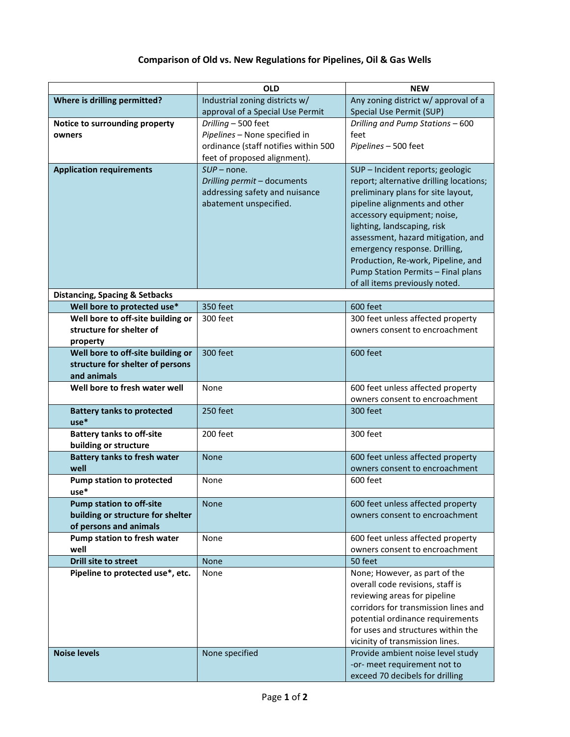## **Comparison of Old vs. New Regulations for Pipelines, Oil & Gas Wells**

|                                                 | OLD                                  | <b>NEW</b>                                                          |
|-------------------------------------------------|--------------------------------------|---------------------------------------------------------------------|
| Where is drilling permitted?                    | Industrial zoning districts w/       | Any zoning district w/ approval of a                                |
|                                                 | approval of a Special Use Permit     | Special Use Permit (SUP)                                            |
| Notice to surrounding property                  | Drilling - 500 feet                  | Drilling and Pump Stations - 600                                    |
| owners                                          | Pipelines - None specified in        | feet                                                                |
|                                                 | ordinance (staff notifies within 500 | Pipelines - 500 feet                                                |
|                                                 | feet of proposed alignment).         |                                                                     |
| <b>Application requirements</b>                 | $SUP$ – none.                        | SUP - Incident reports; geologic                                    |
|                                                 | Drilling permit - documents          | report; alternative drilling locations;                             |
|                                                 | addressing safety and nuisance       | preliminary plans for site layout,                                  |
|                                                 | abatement unspecified.               | pipeline alignments and other                                       |
|                                                 |                                      | accessory equipment; noise,                                         |
|                                                 |                                      | lighting, landscaping, risk                                         |
|                                                 |                                      | assessment, hazard mitigation, and                                  |
|                                                 |                                      | emergency response. Drilling,                                       |
|                                                 |                                      | Production, Re-work, Pipeline, and                                  |
|                                                 |                                      | Pump Station Permits - Final plans                                  |
|                                                 |                                      | of all items previously noted.                                      |
| <b>Distancing, Spacing &amp; Setbacks</b>       |                                      |                                                                     |
| Well bore to protected use*                     | 350 feet                             | 600 feet                                                            |
| Well bore to off-site building or               | 300 feet                             | 300 feet unless affected property                                   |
| structure for shelter of                        |                                      | owners consent to encroachment                                      |
| property                                        |                                      |                                                                     |
| Well bore to off-site building or               | 300 feet                             | 600 feet                                                            |
| structure for shelter of persons<br>and animals |                                      |                                                                     |
| Well bore to fresh water well                   |                                      |                                                                     |
|                                                 | None                                 | 600 feet unless affected property<br>owners consent to encroachment |
| <b>Battery tanks to protected</b>               | 250 feet                             | 300 feet                                                            |
| $use*$                                          |                                      |                                                                     |
| <b>Battery tanks to off-site</b>                | 200 feet                             | 300 feet                                                            |
| building or structure                           |                                      |                                                                     |
| <b>Battery tanks to fresh water</b>             | <b>None</b>                          | 600 feet unless affected property                                   |
| well                                            |                                      | owners consent to encroachment                                      |
| <b>Pump station to protected</b>                | None                                 | 600 feet                                                            |
| use*                                            |                                      |                                                                     |
| <b>Pump station to off-site</b>                 | <b>None</b>                          | 600 feet unless affected property                                   |
| building or structure for shelter               |                                      | owners consent to encroachment                                      |
| of persons and animals                          |                                      |                                                                     |
| Pump station to fresh water                     | None                                 | 600 feet unless affected property                                   |
| well                                            |                                      | owners consent to encroachment                                      |
| <b>Drill site to street</b>                     | None                                 | 50 feet                                                             |
| Pipeline to protected use*, etc.                | None                                 | None; However, as part of the                                       |
|                                                 |                                      | overall code revisions, staff is                                    |
|                                                 |                                      | reviewing areas for pipeline                                        |
|                                                 |                                      | corridors for transmission lines and                                |
|                                                 |                                      | potential ordinance requirements                                    |
|                                                 |                                      | for uses and structures within the                                  |
|                                                 |                                      | vicinity of transmission lines.                                     |
| <b>Noise levels</b>                             | None specified                       | Provide ambient noise level study                                   |
|                                                 |                                      | -or- meet requirement not to                                        |
|                                                 |                                      | exceed 70 decibels for drilling                                     |